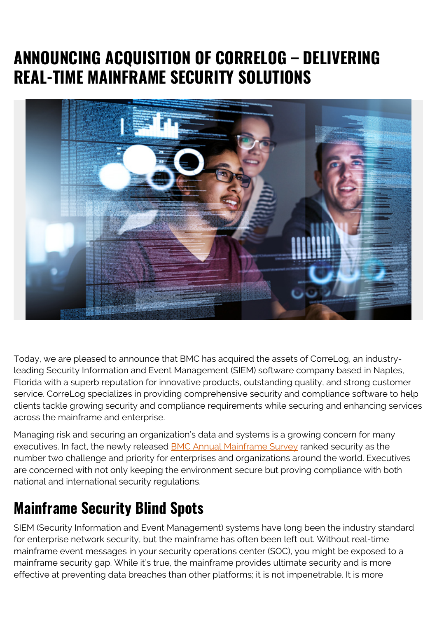## **ANNOUNCING ACQUISITION OF CORRELOG – DELIVERING REAL-TIME MAINFRAME SECURITY SOLUTIONS**



Today, we are pleased to announce that BMC has acquired the assets of CorreLog, an industryleading Security Information and Event Management (SIEM) software company based in Naples, Florida with a superb reputation for innovative products, outstanding quality, and strong customer service. CorreLog specializes in providing comprehensive security and compliance software to help clients tackle growing security and compliance requirements while securing and enhancing services across the mainframe and enterprise.

Managing risk and securing an organization's data and systems is a growing concern for many executives. In fact, the newly released [BMC Annual Mainframe Survey](https://blogs.bmc.com/info/mainframe-survey.html) ranked security as the number two challenge and priority for enterprises and organizations around the world. Executives are concerned with not only keeping the environment secure but proving compliance with both national and international security regulations.

## **Mainframe Security Blind Spots**

SIEM (Security Information and Event Management) systems have long been the industry standard for enterprise network security, but the mainframe has often been left out. Without real-time mainframe event messages in your security operations center (SOC), you might be exposed to a mainframe security gap. While it's true, the mainframe provides ultimate security and is more effective at preventing data breaches than other platforms; it is not impenetrable. It is more